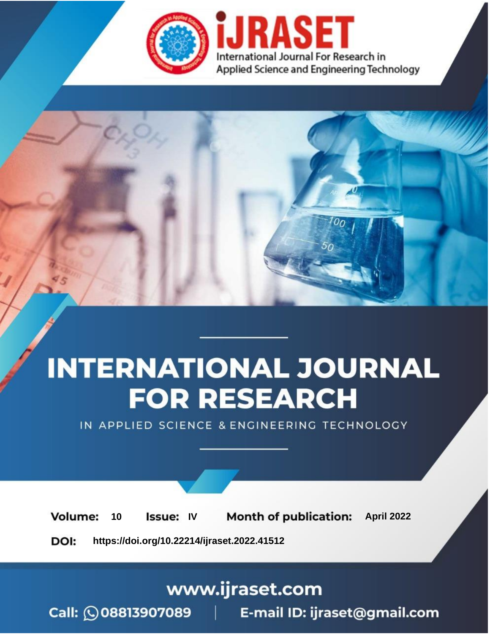

# **INTERNATIONAL JOURNAL FOR RESEARCH**

IN APPLIED SCIENCE & ENGINEERING TECHNOLOGY

10 **Issue: IV Month of publication:** April 2022 **Volume:** 

**https://doi.org/10.22214/ijraset.2022.41512**DOI:

www.ijraset.com

Call: 008813907089 | E-mail ID: ijraset@gmail.com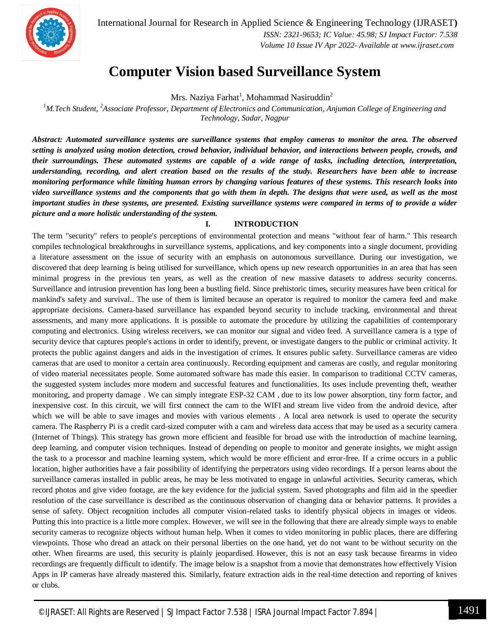

International Journal for Research in Applied Science & Engineering Technology (IJRASET**)**  *ISSN: 2321-9653; IC Value: 45.98; SJ Impact Factor: 7.538 Volume 10 Issue IV Apr 2022- Available at www.ijraset.com*

## **Computer Vision based Surveillance System**

Mrs. Naziya Farhat $^{\rm l}$ , Mohammad Nasiruddin $^{\rm 2}$ 

*<sup>1</sup>M.Tech Student, <sup>2</sup>Associate Professor, Department of Electronics and Communication, Anjuman College of Engineering and Technology, Sadar, Nagpur*

*Abstract: Automated surveillance systems are surveillance systems that employ cameras to monitor the area. The observed setting is analyzed using motion detection, crowd behavior, individual behavior, and interactions between people, crowds, and their surroundings. These automated systems are capable of a wide range of tasks, including detection, interpretation, understanding, recording, and alert creation based on the results of the study. Researchers have been able to increase monitoring performance while limiting human errors by changing various features of these systems. This research looks into video surveillance systems and the components that go with them in depth. The designs that were used, as well as the most important studies in these systems, are presented. Existing surveillance systems were compared in terms of to provide a wider picture and a more holistic understanding of the system.*

#### **I. INTRODUCTION**

The term "security" refers to people's perceptions of environmental protection and means "without fear of harm." This research compiles technological breakthroughs in surveillance systems, applications, and key components into a single document, providing a literature assessment on the issue of security with an emphasis on autonomous surveillance. During our investigation, we discovered that deep learning is being utilised for surveillance, which opens up new research opportunities in an area that has seen minimal progress in the previous ten years, as well as the creation of new massive datasets to address security concerns. Surveillance and intrusion prevention has long been a bustling field. Since prehistoric times, security measures have been critical for mankind's safety and survival.. The use of them is limited because an operator is required to monitor the camera feed and make appropriate decisions. Camera-based surveillance has expanded beyond security to include tracking, environmental and threat assessments, and many more applications. It is possible to automate the procedure by utilizing the capabilities of contemporary computing and electronics. Using wireless receivers, we can monitor our signal and video feed. A surveillance camera is a type of security device that captures people's actions in order to identify, prevent, or investigate dangers to the public or criminal activity. It protects the public against dangers and aids in the investigation of crimes. It ensures public safety. Surveillance cameras are video cameras that are used to monitor a certain area continuously. Recording equipment and cameras are costly, and regular monitoring of video material necessitates people. Some automated software has made this easier. In comparison to traditional CCTV cameras, the suggested system includes more modern and successful features and functionalities. Its uses include preventing theft, weather monitoring, and property damage . We can simply integrate ESP-32 CAM , due to its low power absorption, tiny form factor, and inexpensive cost. In this circuit, we will first connect the cam to the WIFI and stream live video from the android device, after which we will be able to save images and movies with various elements . A local area network is used to operate the security camera. The Raspberry Pi is a credit card-sized computer with a cam and wireless data access that may be used as a security camera (Internet of Things). This strategy has grown more efficient and feasible for broad use with the introduction of machine learning, deep learning, and computer vision techniques. Instead of depending on people to monitor and generate insights, we might assign the task to a processor and machine learning system, which would be more efficient and error-free. If a crime occurs in a public location, higher authorities have a fair possibility of identifying the perpetrators using video recordings. If a person learns about the surveillance cameras installed in public areas, he may be less motivated to engage in unlawful activities. Security cameras, which record photos and give video footage, are the key evidence for the judicial system. Saved photographs and film aid in the speedier resolution of the case surveillance is described as the continuous observation of changing data or behavior patterns. It provides a sense of safety. Object recognition includes all computer vision-related tasks to identify physical objects in images or videos. Putting this into practice is a little more complex. However, we will see in the following that there are already simple ways to enable security cameras to recognize objects without human help. When it comes to video monitoring in public places, there are differing viewpoints. Those who dread an attack on their personal liberties on the one hand, yet do not want to be without security on the other. When firearms are used, this security is plainly jeopardised. However, this is not an easy task because firearms in video recordings are frequently difficult to identify. The image below is a snapshot from a movie that demonstrates how effectively Vision Apps in IP cameras have already mastered this. Similarly, feature extraction aids in the real-time detection and reporting of knives or clubs.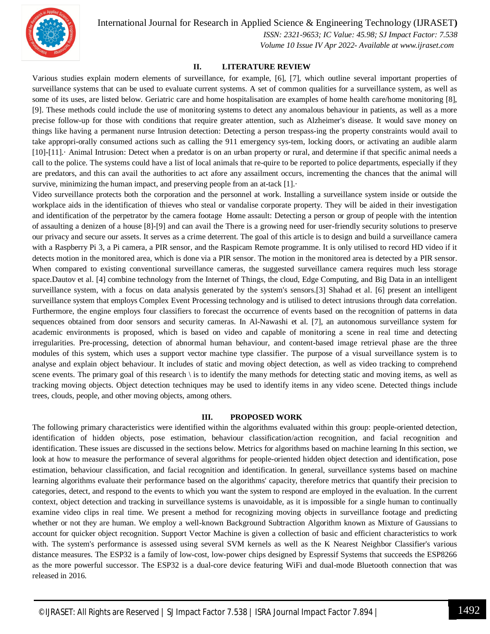International Journal for Research in Applied Science & Engineering Technology (IJRASET**)**



 *ISSN: 2321-9653; IC Value: 45.98; SJ Impact Factor: 7.538 Volume 10 Issue IV Apr 2022- Available at www.ijraset.com*

#### **II. LITERATURE REVIEW**

Various studies explain modern elements of surveillance, for example, [6], [7], which outline several important properties of surveillance systems that can be used to evaluate current systems. A set of common qualities for a surveillance system, as well as some of its uses, are listed below. Geriatric care and home hospitalisation are examples of home health care/home monitoring [8], [9]. These methods could include the use of monitoring systems to detect any anomalous behaviour in patients, as well as a more precise follow-up for those with conditions that require greater attention, such as Alzheimer's disease. It would save money on things like having a permanent nurse Intrusion detection: Detecting a person trespass-ing the property constraints would avail to take appropri-orally consumed actions such as calling the 911 emergency sys-tem, locking doors, or activating an audible alarm [10]-[11].· Animal Intrusion: Detect when a predator is on an urban property or rural, and determine if that specific animal needs a call to the police. The systems could have a list of local animals that re-quire to be reported to police departments, especially if they are predators, and this can avail the authorities to act afore any assailment occurs, incrementing the chances that the animal will survive, minimizing the human impact, and preserving people from an at-tack  $[1]$ .

Video surveillance protects both the corporation and the personnel at work. Installing a surveillance system inside or outside the workplace aids in the identification of thieves who steal or vandalise corporate property. They will be aided in their investigation and identification of the perpetrator by the camera footage Home assault: Detecting a person or group of people with the intention of assaulting a denizen of a house [8]-[9] and can avail the There is a growing need for user-friendly security solutions to preserve our privacy and secure our assets. It serves as a crime deterrent. The goal of this article is to design and build a surveillance camera with a Raspberry Pi 3, a Pi camera, a PIR sensor, and the Raspicam Remote programme. It is only utilised to record HD video if it detects motion in the monitored area, which is done via a PIR sensor. The motion in the monitored area is detected by a PIR sensor. When compared to existing conventional surveillance cameras, the suggested surveillance camera requires much less storage space.Dautov et al. [4] combine technology from the Internet of Things, the cloud, Edge Computing, and Big Data in an intelligent surveillance system, with a focus on data analysis generated by the system's sensors.[3] Shahad et al. [6] present an intelligent surveillance system that employs Complex Event Processing technology and is utilised to detect intrusions through data correlation. Furthermore, the engine employs four classifiers to forecast the occurrence of events based on the recognition of patterns in data sequences obtained from door sensors and security cameras. In Al-Nawashi et al. [7], an autonomous surveillance system for academic environments is proposed, which is based on video and capable of monitoring a scene in real time and detecting irregularities. Pre-processing, detection of abnormal human behaviour, and content-based image retrieval phase are the three modules of this system, which uses a support vector machine type classifier. The purpose of a visual surveillance system is to analyse and explain object behaviour. It includes of static and moving object detection, as well as video tracking to comprehend scene events. The primary goal of this research \ is to identify the many methods for detecting static and moving items, as well as tracking moving objects. Object detection techniques may be used to identify items in any video scene. Detected things include trees, clouds, people, and other moving objects, among others.

#### **III. PROPOSED WORK**

The following primary characteristics were identified within the algorithms evaluated within this group: people-oriented detection, identification of hidden objects, pose estimation, behaviour classification/action recognition, and facial recognition and identification. These issues are discussed in the sections below. Metrics for algorithms based on machine learning In this section, we look at how to measure the performance of several algorithms for people-oriented hidden object detection and identification, pose estimation, behaviour classification, and facial recognition and identification. In general, surveillance systems based on machine learning algorithms evaluate their performance based on the algorithms' capacity, therefore metrics that quantify their precision to categories, detect, and respond to the events to which you want the system to respond are employed in the evaluation. In the current context, object detection and tracking in surveillance systems is unavoidable, as it is impossible for a single human to continually examine video clips in real time. We present a method for recognizing moving objects in surveillance footage and predicting whether or not they are human. We employ a well-known Background Subtraction Algorithm known as Mixture of Gaussians to account for quicker object recognition. Support Vector Machine is given a collection of basic and efficient characteristics to work with. The system's performance is assessed using several SVM kernels as well as the K Nearest Neighbor Classifier's various distance measures. The ESP32 is a family of low-cost, low-power chips designed by Espressif Systems that succeeds the ESP8266 as the more powerful successor. The ESP32 is a dual-core device featuring WiFi and dual-mode Bluetooth connection that was released in 2016.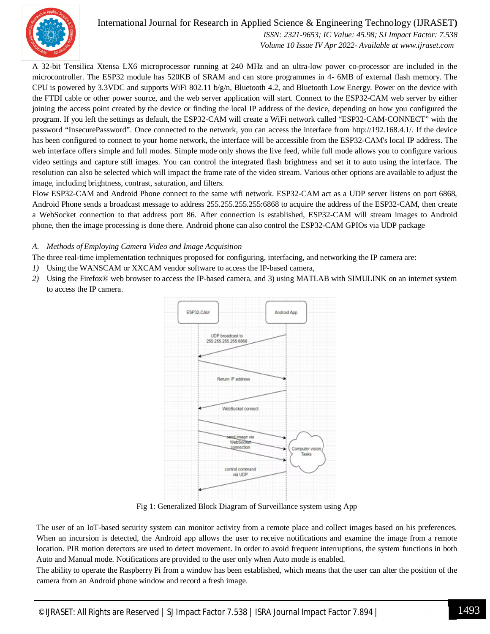

### International Journal for Research in Applied Science & Engineering Technology (IJRASET**)**

 *ISSN: 2321-9653; IC Value: 45.98; SJ Impact Factor: 7.538 Volume 10 Issue IV Apr 2022- Available at www.ijraset.com*

A 32-bit Tensilica Xtensa LX6 microprocessor running at 240 MHz and an ultra-low power co-processor are included in the microcontroller. The ESP32 module has 520KB of SRAM and can store programmes in 4- 6MB of external flash memory. The CPU is powered by 3.3VDC and supports WiFi 802.11 b/g/n, Bluetooth 4.2, and Bluetooth Low Energy. Power on the device with the FTDI cable or other power source, and the web server application will start. Connect to the ESP32-CAM web server by either joining the access point created by the device or finding the local IP address of the device, depending on how you configured the program. If you left the settings as default, the ESP32-CAM will create a WiFi network called "ESP32-CAM-CONNECT" with the password "InsecurePassword". Once connected to the network, you can access the interface from http://192.168.4.1/. If the device has been configured to connect to your home network, the interface will be accessible from the ESP32-CAM's local IP address. The web interface offers simple and full modes. Simple mode only shows the live feed, while full mode allows you to configure various video settings and capture still images. You can control the integrated flash brightness and set it to auto using the interface. The resolution can also be selected which will impact the frame rate of the video stream. Various other options are available to adjust the image, including brightness, contrast, saturation, and filters.

Flow ESP32-CAM and Android Phone connect to the same wifi network. ESP32-CAM act as a UDP server listens on port 6868, Android Phone sends a broadcast message to address 255.255.255.255:6868 to acquire the address of the ESP32-CAM, then create a WebSocket connection to that address port 86. After connection is established, ESP32-CAM will stream images to Android phone, then the image processing is done there. Android phone can also control the ESP32-CAM GPIOs via UDP package

#### *A. Methods of Employing Camera Video and Image Acquisition*

The three real-time implementation techniques proposed for configuring, interfacing, and networking the IP camera are:

- *1)* Using the WANSCAM or XXCAM vendor software to access the IP-based camera,
- *2)* Using the Firefox® web browser to access the IP-based camera, and 3) using MATLAB with SIMULINK on an internet system to access the IP camera.



Fig 1: Generalized Block Diagram of Surveillance system using App

The user of an IoT-based security system can monitor activity from a remote place and collect images based on his preferences. When an incursion is detected, the Android app allows the user to receive notifications and examine the image from a remote location. PIR motion detectors are used to detect movement. In order to avoid frequent interruptions, the system functions in both Auto and Manual mode. Notifications are provided to the user only when Auto mode is enabled.

The ability to operate the Raspberry Pi from a window has been established, which means that the user can alter the position of the camera from an Android phone window and record a fresh image.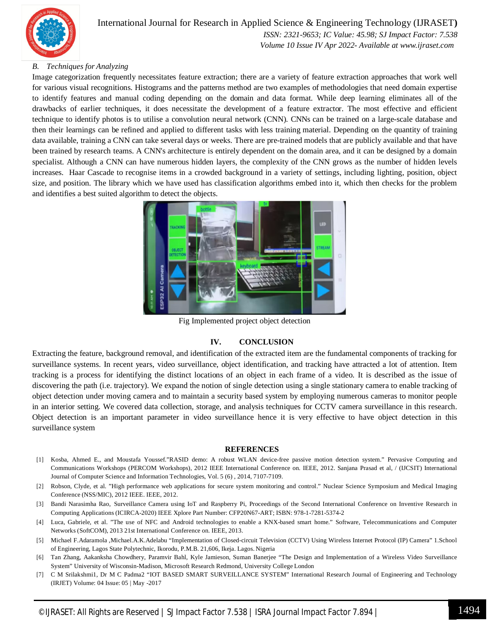

#### *B. Techniques for Analyzing*

Image categorization frequently necessitates feature extraction; there are a variety of feature extraction approaches that work well for various visual recognitions. Histograms and the patterns method are two examples of methodologies that need domain expertise to identify features and manual coding depending on the domain and data format. While deep learning eliminates all of the drawbacks of earlier techniques, it does necessitate the development of a feature extractor. The most effective and efficient technique to identify photos is to utilise a convolution neural network (CNN). CNNs can be trained on a large-scale database and then their learnings can be refined and applied to different tasks with less training material. Depending on the quantity of training data available, training a CNN can take several days or weeks. There are pre-trained models that are publicly available and that have been trained by research teams. A CNN's architecture is entirely dependent on the domain area, and it can be designed by a domain specialist. Although a CNN can have numerous hidden layers, the complexity of the CNN grows as the number of hidden levels increases. Haar Cascade to recognise items in a crowded background in a variety of settings, including lighting, position, object size, and position. The library which we have used has classification algorithms embed into it, which then checks for the problem and identifies a best suited algorithm to detect the objects.



Fig Implemented project object detection

#### **IV. CONCLUSION**

Extracting the feature, background removal, and identification of the extracted item are the fundamental components of tracking for surveillance systems. In recent years, video surveillance, object identification, and tracking have attracted a lot of attention. Item tracking is a process for identifying the distinct locations of an object in each frame of a video. It is described as the issue of discovering the path (i.e. trajectory). We expand the notion of single detection using a single stationary camera to enable tracking of object detection under moving camera and to maintain a security based system by employing numerous cameras to monitor people in an interior setting. We covered data collection, storage, and analysis techniques for CCTV camera surveillance in this research. Object detection is an important parameter in video surveillance hence it is very effective to have object detection in this surveillance system

#### **REFERENCES**

- [1] Kosba, Ahmed E., and Moustafa Youssef."RASID demo: A robust WLAN device-free passive motion detection system." Pervasive Computing and Communications Workshops (PERCOM Workshops), 2012 IEEE International Conference on. IEEE, 2012. Sanjana Prasad et al, / (IJCSIT) International Journal of Computer Science and Information Technologies, Vol. 5 (6) , 2014, 7107-7109.
- [2] Robson, Clyde, et al. "High performance web applications for secure system monitoring and control." Nuclear Science Symposium and Medical Imaging Conference (NSS/MIC), 2012 IEEE. IEEE, 2012.
- [3] Bandi Narasimha Rao, Surveillance Camera using IoT and Raspberry Pi, Proceedings of the Second International Conference on Inventive Research in Computing Applications (ICIRCA-2020) IEEE Xplore Part Number: CFP20N67-ART; ISBN: 978-1-7281-5374-2
- [4] Luca, Gabriele, et al. "The use of NFC and Android technologies to enable a KNX-based smart home." Software, Telecommunications and Computer Networks (SoftCOM), 2013 21st International Conference on. IEEE, 2013.
- [5] Michael F.Adaramola ,Michael.A.K.Adelabu "Implementation of Closed-circuit Television (CCTV) Using Wireless Internet Protocol (IP) Camera" 1.School of Engineering, Lagos State Polytechnic, Ikorodu, P.M.B. 21,606, Ikeja. Lagos. Nigeria
- [6] Tan Zhang, Aakanksha Chowdhery, Paramvir Bahl, Kyle Jamieson, Suman Banerjee "The Design and Implementation of a Wireless Video Surveillance System" University of Wisconsin-Madison, Microsoft Research Redmond, University College London
- [7] C M Srilakshmi1, Dr M C Padma2 "IOT BASED SMART SURVEILLANCE SYSTEM" International Research Journal of Engineering and Technology (IRJET) Volume: 04 Issue: 05 | May -2017
- ©IJRASET: All Rights are Reserved | SJ Impact Factor 7.538 | ISRA Journal Impact Factor 7.894 | 1494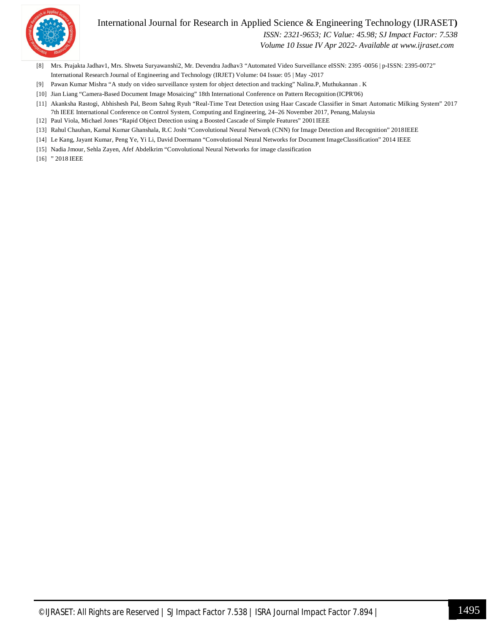

#### International Journal for Research in Applied Science & Engineering Technology (IJRASET**)**

 *ISSN: 2321-9653; IC Value: 45.98; SJ Impact Factor: 7.538*

 *Volume 10 Issue IV Apr 2022- Available at www.ijraset.com*

- [8] Mrs. Prajakta Jadhav1, Mrs. Shweta Suryawanshi2, Mr. Devendra Jadhav3 "Automated Video Surveillance eISSN: 2395 -0056 | p-ISSN: 2395-0072" International Research Journal of Engineering and Technology (IRJET) Volume: 04 Issue: 05 | May -2017
- [9] Pawan Kumar Mishra "A study on video surveillance system for object detection and tracking" Nalina.P, Muthukannan . K
- [10] Jian Liang "Camera-Based Document Image Mosaicing" 18th International Conference on Pattern Recognition (ICPR'06)
- [11] Akanksha Rastogi, Abhishesh Pal, Beom Sahng Ryuh "Real-Time Teat Detection using Haar Cascade Classifier in Smart Automatic Milking System" 2017 7th IEEE International Conference on Control System, Computing and Engineering, 24–26 November 2017, Penang,Malaysia
- [12] Paul Viola, Michael Jones "Rapid Object Detection using a Boosted Cascade of Simple Features" 2001IEEE
- [13] Rahul Chauhan, Kamal Kumar Ghanshala, R.C Joshi "Convolutional Neural Network (CNN) for Image Detection and Recognition" 2018IEEE
- [14] Le Kang, Jayant Kumar, Peng Ye, Yi Li, David Doermann "Convolutional Neural Networks for Document ImageClassification" 2014 IEEE
- [15] Nadia Jmour, Sehla Zayen, Afef Abdelkrim "Convolutional Neural Networks for image classification
- [16] " 2018 IEEE